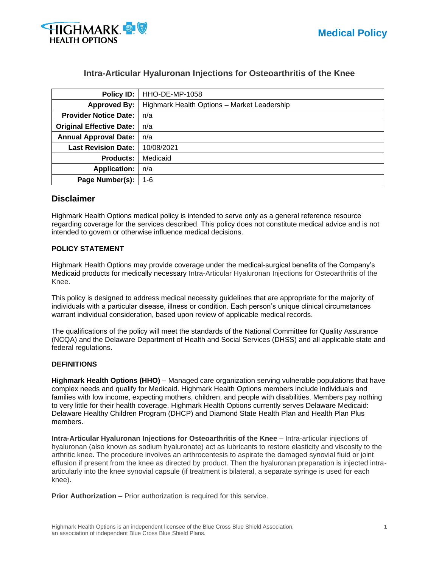

# **Intra-Articular Hyaluronan Injections for Osteoarthritis of the Knee**

| <b>Policy ID:</b>                        | HHO-DE-MP-1058                              |  |  |  |
|------------------------------------------|---------------------------------------------|--|--|--|
| <b>Approved By:</b>                      | Highmark Health Options - Market Leadership |  |  |  |
| <b>Provider Notice Date:</b>             | n/a                                         |  |  |  |
| <b>Original Effective Date:</b>          | n/a                                         |  |  |  |
| <b>Annual Approval Date:</b><br>n/a      |                                             |  |  |  |
| <b>Last Revision Date:</b><br>10/08/2021 |                                             |  |  |  |
| <b>Products:</b>                         | Medicaid                                    |  |  |  |
| <b>Application:</b>                      | n/a                                         |  |  |  |
| Page Number(s):                          | $1 - 6$                                     |  |  |  |

# **Disclaimer**

Highmark Health Options medical policy is intended to serve only as a general reference resource regarding coverage for the services described. This policy does not constitute medical advice and is not intended to govern or otherwise influence medical decisions.

## **POLICY STATEMENT**

Highmark Health Options may provide coverage under the medical-surgical benefits of the Company's Medicaid products for medically necessary Intra-Articular Hyaluronan Injections for Osteoarthritis of the Knee.

This policy is designed to address medical necessity guidelines that are appropriate for the majority of individuals with a particular disease, illness or condition. Each person's unique clinical circumstances warrant individual consideration, based upon review of applicable medical records.

The qualifications of the policy will meet the standards of the National Committee for Quality Assurance (NCQA) and the Delaware Department of Health and Social Services (DHSS) and all applicable state and federal regulations.

### **DEFINITIONS**

**Highmark Health Options (HHO)** – Managed care organization serving vulnerable populations that have complex needs and qualify for Medicaid. Highmark Health Options members include individuals and families with low income, expecting mothers, children, and people with disabilities. Members pay nothing to very little for their health coverage. Highmark Health Options currently serves Delaware Medicaid: Delaware Healthy Children Program (DHCP) and Diamond State Health Plan and Health Plan Plus members.

**Intra-Articular Hyaluronan Injections for Osteoarthritis of the Knee** – Intra-articular injections of hyaluronan (also known as sodium hyaluronate) act as lubricants to restore elasticity and viscosity to the arthritic knee. The procedure involves an arthrocentesis to aspirate the damaged synovial fluid or joint effusion if present from the knee as directed by product. Then the hyaluronan preparation is injected intraarticularly into the knee synovial capsule (if treatment is bilateral, a separate syringe is used for each knee).

**Prior Authorization** – Prior authorization is required for this service.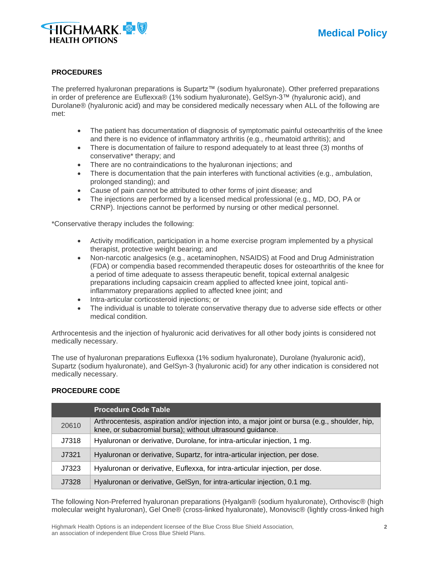

#### **PROCEDURES**

The preferred hyaluronan preparations is Supartz™ (sodium hyaluronate). Other preferred preparations in order of preference are Euflexxa® (1% sodium hyaluronate), GelSyn-3™ (hyaluronic acid), and Durolane® (hyaluronic acid) and may be considered medically necessary when ALL of the following are met:

- The patient has documentation of diagnosis of symptomatic painful osteoarthritis of the knee and there is no evidence of inflammatory arthritis (e.g., rheumatoid arthritis); and
- There is documentation of failure to respond adequately to at least three (3) months of conservative\* therapy; and
- There are no contraindications to the hyaluronan injections; and
- There is documentation that the pain interferes with functional activities (e.g., ambulation, prolonged standing); and
- Cause of pain cannot be attributed to other forms of joint disease; and
- The injections are performed by a licensed medical professional (e.g., MD, DO, PA or CRNP). Injections cannot be performed by nursing or other medical personnel.

\*Conservative therapy includes the following:

- Activity modification, participation in a home exercise program implemented by a physical therapist, protective weight bearing; and
- Non-narcotic analgesics (e.g., acetaminophen, NSAIDS) at Food and Drug Administration (FDA) or compendia based recommended therapeutic doses for osteoarthritis of the knee for a period of time adequate to assess therapeutic benefit, topical external analgesic preparations including capsaicin cream applied to affected knee joint, topical antiinflammatory preparations applied to affected knee joint; and
- Intra-articular corticosteroid injections; or
- The individual is unable to tolerate conservative therapy due to adverse side effects or other medical condition.

Arthrocentesis and the injection of hyaluronic acid derivatives for all other body joints is considered not medically necessary.

The use of hyaluronan preparations Euflexxa (1% sodium hyaluronate), Durolane (hyaluronic acid), Supartz (sodium hyaluronate), and GelSyn-3 (hyaluronic acid) for any other indication is considered not medically necessary.

#### **PROCEDURE CODE**

|       | <b>Procedure Code Table</b>                                                                                                                                 |  |  |  |
|-------|-------------------------------------------------------------------------------------------------------------------------------------------------------------|--|--|--|
| 20610 | Arthrocentesis, aspiration and/or injection into, a major joint or bursa (e.g., shoulder, hip,<br>knee, or subacromial bursa); without ultrasound guidance. |  |  |  |
| J7318 | Hyaluronan or derivative, Durolane, for intra-articular injection, 1 mg.                                                                                    |  |  |  |
| J7321 | Hyaluronan or derivative, Supartz, for intra-articular injection, per dose.                                                                                 |  |  |  |
| J7323 | Hyaluronan or derivative, Euflexxa, for intra-articular injection, per dose.                                                                                |  |  |  |
| J7328 | Hyaluronan or derivative, GelSyn, for intra-articular injection, 0.1 mg.                                                                                    |  |  |  |

The following Non-Preferred hyaluronan preparations (Hyalgan® (sodium hyaluronate), Orthovisc® (high molecular weight hyaluronan), Gel One® (cross-linked hyaluronate), Monovisc® (lightly cross-linked high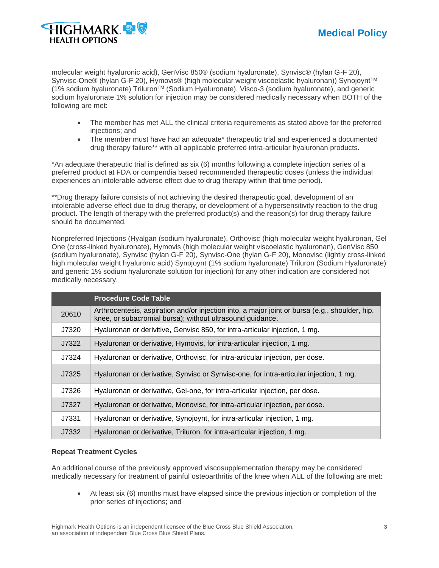

molecular weight hyaluronic acid), GenVisc 850® (sodium hyaluronate), Synvisc® (hylan G-F 20), Synvisc-One® (hylan G-F 20), Hymovis® (high molecular weight viscoelastic hyaluronan)) Synojoynt™ (1% sodium hyaluronate) TriluronTM (Sodium Hyaluronate), Visco-3 (sodium hyaluronate), and generic sodium hyaluronate 1% solution for injection may be considered medically necessary when BOTH of the following are met:

- The member has met ALL the clinical criteria requirements as stated above for the preferred injections; and
- The member must have had an adequate\* therapeutic trial and experienced a documented drug therapy failure\*\* with all applicable preferred intra-articular hyaluronan products.

\*An adequate therapeutic trial is defined as six (6) months following a complete injection series of a preferred product at FDA or compendia based recommended therapeutic doses (unless the individual experiences an intolerable adverse effect due to drug therapy within that time period).

\*\*Drug therapy failure consists of not achieving the desired therapeutic goal, development of an intolerable adverse effect due to drug therapy, or development of a hypersensitivity reaction to the drug product. The length of therapy with the preferred product(s) and the reason(s) for drug therapy failure should be documented.

Nonpreferred Injections (Hyalgan (sodium hyaluronate), Orthovisc (high molecular weight hyaluronan, Gel One (cross-linked hyaluronate), Hymovis (high molecular weight viscoelastic hyaluronan), GenVisc 850 (sodium hyaluronate), Synvisc (hylan G-F 20), Synvisc-One (hylan G-F 20), Monovisc (lightly cross-linked high molecular weight hyaluronic acid) Synojoynt (1% sodium hyaluronate) Triluron (Sodium Hyaluronate) and generic 1% sodium hyaluronate solution for injection) for any other indication are considered not medically necessary.

|       | <b>Procedure Code Table</b>                                                                                                                                 |  |  |  |
|-------|-------------------------------------------------------------------------------------------------------------------------------------------------------------|--|--|--|
| 20610 | Arthrocentesis, aspiration and/or injection into, a major joint or bursa (e.g., shoulder, hip,<br>knee, or subacromial bursa); without ultrasound guidance. |  |  |  |
| J7320 | Hyaluronan or derivitive, Genvisc 850, for intra-articular injection, 1 mg.                                                                                 |  |  |  |
| J7322 | Hyaluronan or derivative, Hymovis, for intra-articular injection, 1 mg.                                                                                     |  |  |  |
| J7324 | Hyaluronan or derivative, Orthovisc, for intra-articular injection, per dose.                                                                               |  |  |  |
| J7325 | Hyaluronan or derivative, Synvisc or Synvisc-one, for intra-articular injection, 1 mg.                                                                      |  |  |  |
| J7326 | Hyaluronan or derivative, Gel-one, for intra-articular injection, per dose.                                                                                 |  |  |  |
| J7327 | Hyaluronan or derivative, Monovisc, for intra-articular injection, per dose.                                                                                |  |  |  |
| J7331 | Hyaluronan or derivative, Synojoynt, for intra-articular injection, 1 mg.                                                                                   |  |  |  |
| J7332 | Hyaluronan or derivative, Triluron, for intra-articular injection, 1 mg.                                                                                    |  |  |  |

#### **Repeat Treatment Cycles**

An additional course of the previously approved viscosupplementation therapy may be considered medically necessary for treatment of painful osteoarthritis of the knee when AL**L** of the following are met:

• At least six (6) months must have elapsed since the previous injection or completion of the prior series of injections; and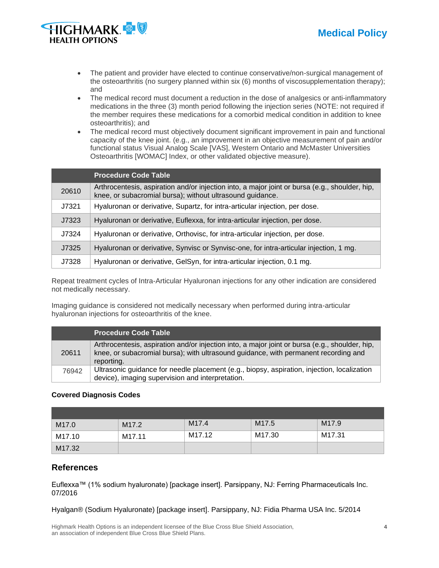



- The patient and provider have elected to continue conservative/non-surgical management of the osteoarthritis (no surgery planned within six (6) months of viscosupplementation therapy); and
- The medical record must document a reduction in the dose of analgesics or anti-inflammatory medications in the three (3) month period following the injection series (NOTE: not required if the member requires these medications for a comorbid medical condition in addition to knee osteoarthritis); and
- The medical record must objectively document significant improvement in pain and functional capacity of the knee joint. (e.g., an improvement in an objective measurement of pain and/or functional status Visual Analog Scale [VAS], Western Ontario and McMaster Universities Osteoarthritis [WOMAC] Index, or other validated objective measure).

|       | <b>Procedure Code Table</b>                                                                                                                                 |  |  |  |
|-------|-------------------------------------------------------------------------------------------------------------------------------------------------------------|--|--|--|
| 20610 | Arthrocentesis, aspiration and/or injection into, a major joint or bursa (e.g., shoulder, hip,<br>knee, or subacromial bursa); without ultrasound guidance. |  |  |  |
| J7321 | Hyaluronan or derivative, Supartz, for intra-articular injection, per dose.                                                                                 |  |  |  |
| J7323 | Hyaluronan or derivative, Euflexxa, for intra-articular injection, per dose.                                                                                |  |  |  |
| J7324 | Hyaluronan or derivative, Orthovisc, for intra-articular injection, per dose.                                                                               |  |  |  |
| J7325 | Hyaluronan or derivative, Synvisc or Synvisc-one, for intra-articular injection, 1 mg.                                                                      |  |  |  |
| J7328 | Hyaluronan or derivative, GelSyn, for intra-articular injection, 0.1 mg.                                                                                    |  |  |  |

Repeat treatment cycles of Intra-Articular Hyaluronan injections for any other indication are considered not medically necessary.

Imaging guidance is considered not medically necessary when performed during intra-articular hyaluronan injections for osteoarthritis of the knee.

|       | <b>Procedure Code Table</b>                                                                                                                                                                         |
|-------|-----------------------------------------------------------------------------------------------------------------------------------------------------------------------------------------------------|
| 20611 | Arthrocentesis, aspiration and/or injection into, a major joint or bursa (e.g., shoulder, hip,<br>knee, or subacromial bursa); with ultrasound guidance, with permanent recording and<br>reporting. |
| 76942 | Ultrasonic guidance for needle placement (e.g., biopsy, aspiration, injection, localization<br>device), imaging supervision and interpretation.                                                     |

## **Covered Diagnosis Codes**

| M <sub>17.0</sub> | M <sub>17.2</sub> | M <sub>17.4</sub> | M <sub>17.5</sub> | M <sub>17.9</sub> |
|-------------------|-------------------|-------------------|-------------------|-------------------|
| M17.10            | M17.11            | M17.12            | M17.30            | M17.31            |
| M17.32            |                   |                   |                   |                   |

# **References**

Euflexxa™ (1% sodium hyaluronate) [package insert]. Parsippany, NJ: Ferring Pharmaceuticals Inc. 07/2016

Hyalgan® (Sodium Hyaluronate) [package insert]. Parsippany, NJ: Fidia Pharma USA Inc. 5/2014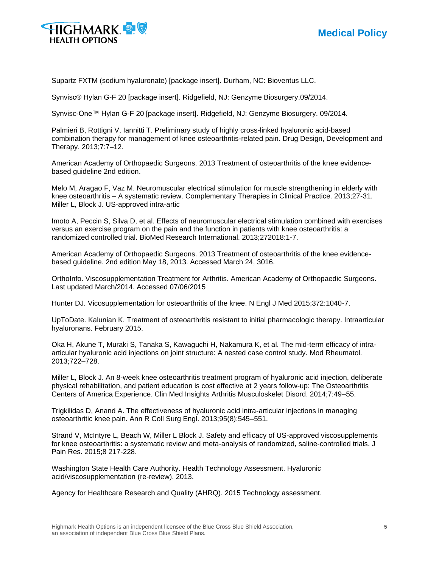



Supartz FXTM (sodium hyaluronate) [package insert]. Durham, NC: Bioventus LLC.

Synvisc® Hylan G-F 20 [package insert]. Ridgefield, NJ: Genzyme Biosurgery.09/2014.

Synvisc-One™ Hylan G-F 20 [package insert]. Ridgefield, NJ: Genzyme Biosurgery. 09/2014.

Palmieri B, Rottigni V, Iannitti T. Preliminary study of highly cross-linked hyaluronic acid-based combination therapy for management of knee osteoarthritis-related pain. Drug Design, Development and Therapy. 2013;7:7–12.

American Academy of Orthopaedic Surgeons. 2013 Treatment of osteoarthritis of the knee evidencebased guideline 2nd edition.

Melo M, Aragao F, Vaz M. Neuromuscular electrical stimulation for muscle strengthening in elderly with knee osteoarthritis – A systematic review. Complementary Therapies in Clinical Practice. 2013;27-31. Miller L, Block J. US-approved intra-artic

Imoto A, Peccin S, Silva D, et al. Effects of neuromuscular electrical stimulation combined with exercises versus an exercise program on the pain and the function in patients with knee osteoarthritis: a randomized controlled trial. BioMed Research International. 2013;272018:1-7.

American Academy of Orthopaedic Surgeons. 2013 Treatment of osteoarthritis of the knee evidencebased guideline. 2nd edition May 18, 2013. Accessed March 24, 3016.

OrthoInfo. Viscosupplementation Treatment for Arthritis. American Academy of Orthopaedic Surgeons. Last updated March/2014. Accessed 07/06/2015

Hunter DJ. Vicosupplementation for osteoarthritis of the knee. N Engl J Med 2015;372:1040-7.

UpToDate. Kalunian K. Treatment of osteoarthritis resistant to initial pharmacologic therapy. Intraarticular hyaluronans. February 2015.

Oka H, Akune T, Muraki S, Tanaka S, Kawaguchi H, Nakamura K, et al. The mid-term efficacy of intraarticular hyaluronic acid injections on joint structure: A nested case control study. Mod Rheumatol. 2013;722–728.

Miller L, Block J. An 8-week knee osteoarthritis treatment program of hyaluronic acid injection, deliberate physical rehabilitation, and patient education is cost effective at 2 years follow-up: The Osteoarthritis Centers of America Experience. Clin Med Insights Arthritis Musculoskelet Disord. 2014;7:49–55.

Trigkilidas D, Anand A. The effectiveness of hyaluronic acid intra-articular injections in managing osteoarthritic knee pain. Ann R Coll Surg Engl. 2013;95(8):545–551.

Strand V, McIntyre L, Beach W, Miller L Block J. Safety and efficacy of US-approved viscosupplements for knee osteoarthritis: a systematic review and meta-analysis of randomized, saline-controlled trials. J Pain Res. 2015;8 217-228.

Washington State Health Care Authority. Health Technology Assessment. Hyaluronic acid/viscosupplementation (re-review). 2013.

Agency for Healthcare Research and Quality (AHRQ). 2015 Technology assessment.